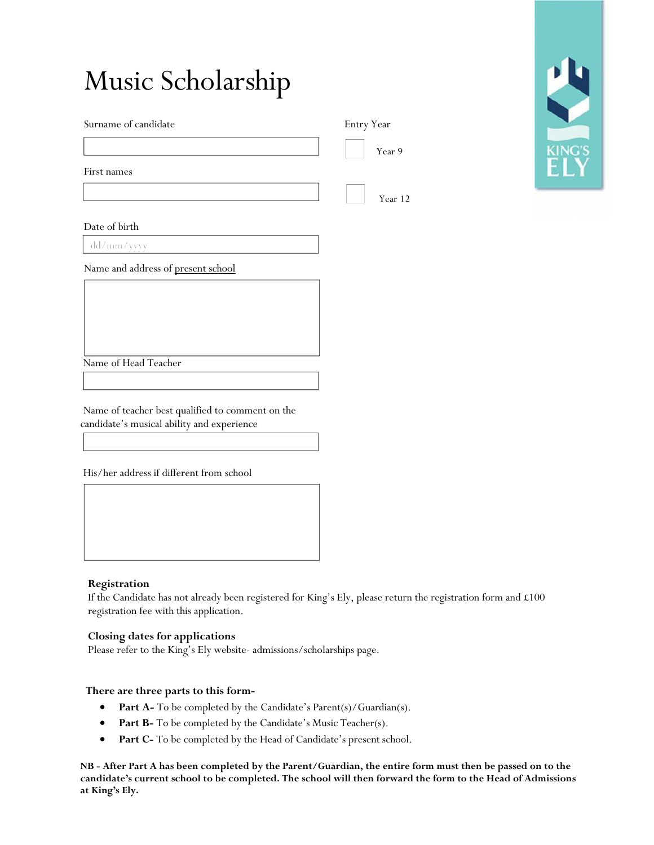| Music Scholarship                                                                              |            |               |
|------------------------------------------------------------------------------------------------|------------|---------------|
| Surname of candidate                                                                           | Entry Year |               |
|                                                                                                | Year 9     | <b>KING'S</b> |
| First names                                                                                    |            |               |
|                                                                                                | Year 12    |               |
| Date of birth                                                                                  |            |               |
| dd/mm/yyyy                                                                                     |            |               |
| Name and address of present school                                                             |            |               |
|                                                                                                |            |               |
|                                                                                                |            |               |
| Name of Head Teacher                                                                           |            |               |
|                                                                                                |            |               |
| Name of teacher best qualified to comment on the<br>candidate's musical ability and experience |            |               |
|                                                                                                |            |               |
| His/her address if different from school                                                       |            |               |

## **Registration**

If the Candidate has not already been registered for King's Ely, please return the registration form and £100 registration fee with this application.

### **Closing dates for applications**

Please refer to the King's Ely website- admissions/scholarships page.

#### **There are three parts to this form-**

- **Part A-** To be completed by the Candidate's Parent(s)/Guardian(s).
- **Part B-** To be completed by the Candidate's Music Teacher(s).
- **Part C-** To be completed by the Head of Candidate's present school.

**NB - After Part A has been completed by the Parent/Guardian, the entire form must then be passed on to the candidate's current school to be completed. The school will then forward the form to the Head of Admissions at King's Ely.**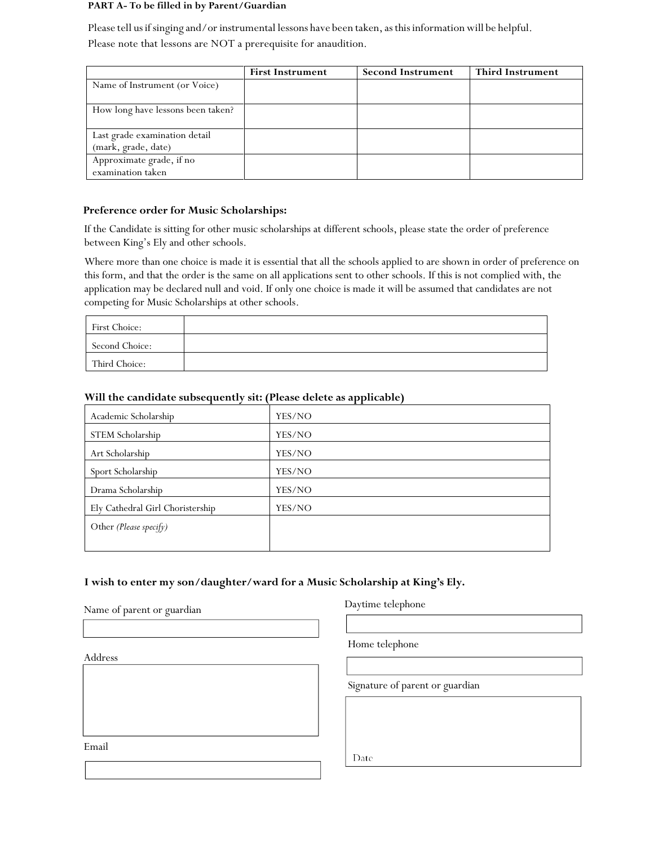#### **PART A- To be filled in by Parent/Guardian**

Please tell us if singing and/or instrumental lessons have been taken, as this information will be helpful. Please note that lessons are NOT a prerequisite for anaudition.

|                                                      | <b>First Instrument</b> | <b>Second Instrument</b> | <b>Third Instrument</b> |
|------------------------------------------------------|-------------------------|--------------------------|-------------------------|
| Name of Instrument (or Voice)                        |                         |                          |                         |
| How long have lessons been taken?                    |                         |                          |                         |
| Last grade examination detail<br>(mark, grade, date) |                         |                          |                         |
| Approximate grade, if no<br>examination taken        |                         |                          |                         |

## **Preference order for Music Scholarships:**

If the Candidate is sitting for other music scholarships at different schools, please state the order of preference between King's Ely and other schools.

Where more than one choice is made it is essential that all the schools applied to are shown in order of preference on this form, and that the order is the same on all applications sent to other schools. If this is not complied with, the application may be declared null and void. If only one choice is made it will be assumed that candidates are not competing for Music Scholarships at other schools.

| First Choice:  |  |
|----------------|--|
| Second Choice: |  |
| Third Choice:  |  |

| Academic Scholarship             | YES/NO |
|----------------------------------|--------|
| STEM Scholarship                 | YES/NO |
| Art Scholarship                  | YES/NO |
| Sport Scholarship                | YES/NO |
| Drama Scholarship                | YES/NO |
| Ely Cathedral Girl Choristership | YES/NO |
| Other (Please specify)           |        |
|                                  |        |

# **Will the candidate subsequently sit: (Please delete as applicable)**

# **I wish to enter my son/daughter/ward for a Music Scholarship at King's Ely.**

Name of parent or guardian

Address

Email

Daytime telephone

Home telephone

Signature of parent or guardian

Date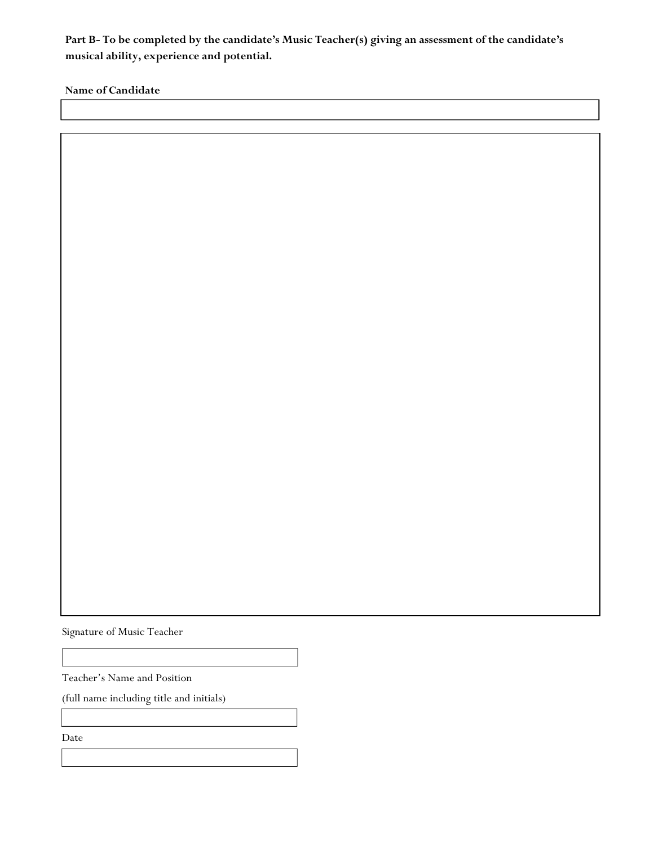**Part B- To be completed by the candidate's Music Teacher(s) giving an assessment of the candidate's musical ability, experience and potential.** 

**Name of Candidate**

Signature of Music Teacher

Teacher's Name and Position

(full name including title and initials)

Date